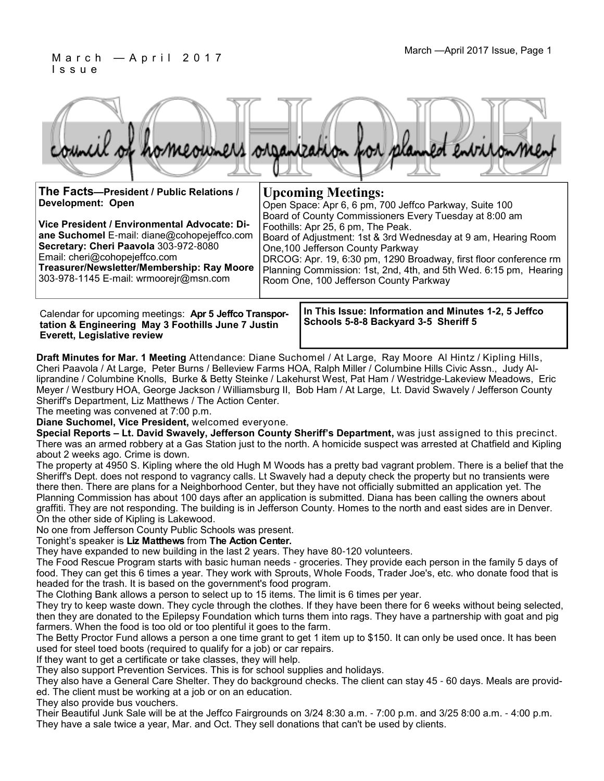#### March — April 2017 Issue, Page 1 I s s u e



| The Facts-President / Public Relations /                                                                                                                                                                                                                      | <b>Upcoming Meetings:</b>                                                                                                                                                                                                                                                                                                                                                               |  |
|---------------------------------------------------------------------------------------------------------------------------------------------------------------------------------------------------------------------------------------------------------------|-----------------------------------------------------------------------------------------------------------------------------------------------------------------------------------------------------------------------------------------------------------------------------------------------------------------------------------------------------------------------------------------|--|
| Development: Open                                                                                                                                                                                                                                             | Open Space: Apr 6, 6 pm, 700 Jeffco Parkway, Suite 100                                                                                                                                                                                                                                                                                                                                  |  |
| Vice President / Environmental Advocate: Di-<br>ane Suchomel E-mail: diane@cohopejeffco.com<br>Secretary: Cheri Paavola 303-972-8080<br>Email: cheri@cohopejeffco.com<br>Treasurer/Newsletter/Membership: Ray Moore<br>303-978-1145 E-mail: wrmoorejr@msn.com | Board of County Commissioners Every Tuesday at 8:00 am<br>Foothills: Apr 25, 6 pm, The Peak.<br>Board of Adjustment: 1st & 3rd Wednesday at 9 am, Hearing Room<br>One, 100 Jefferson County Parkway<br>DRCOG: Apr. 19, 6:30 pm, 1290 Broadway, first floor conference rm<br>Planning Commission: 1st, 2nd, 4th, and 5th Wed. 6:15 pm, Hearing<br>Room One, 100 Jefferson County Parkway |  |
|                                                                                                                                                                                                                                                               |                                                                                                                                                                                                                                                                                                                                                                                         |  |

Calendar for upcoming meetings: **Apr 5 Jeffco Transportation & Engineering May 3 Foothills June 7 Justin Everett, Legislative review**

**In This Issue: Information and Minutes 1-2, 5 Jeffco Schools 5-8-8 Backyard 3-5 Sheriff 5** 

**Draft Minutes for Mar. 1 Meeting** Attendance: Diane Suchomel / At Large, Ray Moore Al Hintz / Kipling Hills, Cheri Paavola / At Large, Peter Burns / Belleview Farms HOA, Ralph Miller / Columbine Hills Civic Assn., Judy Alliprandine / Columbine Knolls, Burke & Betty Steinke / Lakehurst West, Pat Ham / Westridge-Lakeview Meadows, Eric Meyer / Westbury HOA, George Jackson / Williamsburg II, Bob Ham / At Large, Lt. David Swavely / Jefferson County Sheriff's Department, Liz Matthews / The Action Center.

The meeting was convened at 7:00 p.m.

**Diane Suchomel, Vice President,** welcomed everyone.

**Special Reports – Lt. David Swavely, Jefferson County Sheriff's Department,** was just assigned to this precinct. There was an armed robbery at a Gas Station just to the north. A homicide suspect was arrested at Chatfield and Kipling about 2 weeks ago. Crime is down.

The property at 4950 S. Kipling where the old Hugh M Woods has a pretty bad vagrant problem. There is a belief that the Sheriff's Dept. does not respond to vagrancy calls. Lt Swavely had a deputy check the property but no transients were there then. There are plans for a Neighborhood Center, but they have not officially submitted an application yet. The Planning Commission has about 100 days after an application is submitted. Diana has been calling the owners about graffiti. They are not responding. The building is in Jefferson County. Homes to the north and east sides are in Denver. On the other side of Kipling is Lakewood.

No one from Jefferson County Public Schools was present.

Tonight's speaker is **Liz Matthews** from **The Action Center.**

They have expanded to new building in the last 2 years. They have 80-120 volunteers.

The Food Rescue Program starts with basic human needs - groceries. They provide each person in the family 5 days of food. They can get this 6 times a year. They work with Sprouts, Whole Foods, Trader Joe's, etc. who donate food that is headed for the trash. It is based on the government's food program.

The Clothing Bank allows a person to select up to 15 items. The limit is 6 times per year.

They try to keep waste down. They cycle through the clothes. If they have been there for 6 weeks without being selected, then they are donated to the Epilepsy Foundation which turns them into rags. They have a partnership with goat and pig farmers. When the food is too old or too plentiful it goes to the farm.

The Betty Proctor Fund allows a person a one time grant to get 1 item up to \$150. It can only be used once. It has been used for steel toed boots (required to qualify for a job) or car repairs.

If they want to get a certificate or take classes, they will help.

They also support Prevention Services. This is for school supplies and holidays.

They also have a General Care Shelter. They do background checks. The client can stay 45 - 60 days. Meals are provided. The client must be working at a job or on an education.

They also provide bus vouchers.

Their Beautiful Junk Sale will be at the Jeffco Fairgrounds on 3/24 8:30 a.m. - 7:00 p.m. and 3/25 8:00 a.m. - 4:00 p.m. They have a sale twice a year, Mar. and Oct. They sell donations that can't be used by clients.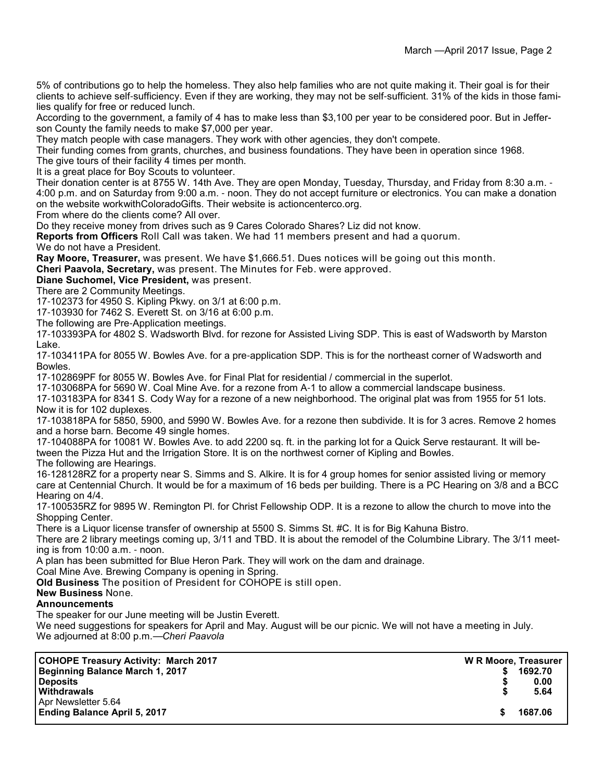5% of contributions go to help the homeless. They also help families who are not quite making it. Their goal is for their clients to achieve self-sufficiency. Even if they are working, they may not be self-sufficient. 31% of the kids in those families qualify for free or reduced lunch.

According to the government, a family of 4 has to make less than \$3,100 per year to be considered poor. But in Jefferson County the family needs to make \$7,000 per year.

They match people with case managers. They work with other agencies, they don't compete.

Their funding comes from grants, churches, and business foundations. They have been in operation since 1968.

The give tours of their facility 4 times per month.

It is a great place for Boy Scouts to volunteer.

Their donation center is at 8755 W. 14th Ave. They are open Monday, Tuesday, Thursday, and Friday from 8:30 a.m. - 4:00 p.m. and on Saturday from 9:00 a.m. - noon. They do not accept furniture or electronics. You can make a donation on the website workwithColoradoGifts. Their website is actioncenterco.org.

From where do the clients come? All over.

Do they receive money from drives such as 9 Cares Colorado Shares? Liz did not know.

**Reports from Officers** Roll Call was taken. We had 11 members present and had a quorum. We do not have a President.

**Ray Moore, Treasurer,** was present. We have \$1,666.51. Dues notices will be going out this month.

**Cheri Paavola, Secretary,** was present. The Minutes for Feb. were approved.

**Diane Suchomel, Vice President,** was present.

There are 2 Community Meetings.

17-102373 for 4950 S. Kipling Pkwy. on 3/1 at 6:00 p.m.

17-103930 for 7462 S. Everett St. on 3/16 at 6:00 p.m.

The following are Pre-Application meetings.

17-103393PA for 4802 S. Wadsworth Blvd. for rezone for Assisted Living SDP. This is east of Wadsworth by Marston Lake.

17-103411PA for 8055 W. Bowles Ave. for a pre-application SDP. This is for the northeast corner of Wadsworth and Bowles.

17-102869PF for 8055 W. Bowles Ave. for Final Plat for residential / commercial in the superlot.

17-103068PA for 5690 W. Coal Mine Ave. for a rezone from A-1 to allow a commercial landscape business.

17-103183PA for 8341 S. Cody Way for a rezone of a new neighborhood. The original plat was from 1955 for 51 lots. Now it is for 102 duplexes.

17-103818PA for 5850, 5900, and 5990 W. Bowles Ave. for a rezone then subdivide. It is for 3 acres. Remove 2 homes and a horse barn. Become 49 single homes.

17-104088PA for 10081 W. Bowles Ave. to add 2200 sq. ft. in the parking lot for a Quick Serve restaurant. It will between the Pizza Hut and the Irrigation Store. It is on the northwest corner of Kipling and Bowles.

The following are Hearings.

16-128128RZ for a property near S. Simms and S. Alkire. It is for 4 group homes for senior assisted living or memory care at Centennial Church. It would be for a maximum of 16 beds per building. There is a PC Hearing on 3/8 and a BCC Hearing on 4/4.

17-100535RZ for 9895 W. Remington Pl. for Christ Fellowship ODP. It is a rezone to allow the church to move into the Shopping Center.

There is a Liquor license transfer of ownership at 5500 S. Simms St. #C. It is for Big Kahuna Bistro.

There are 2 library meetings coming up, 3/11 and TBD. It is about the remodel of the Columbine Library. The 3/11 meeting is from 10:00 a.m. - noon.

A plan has been submitted for Blue Heron Park. They will work on the dam and drainage.

Coal Mine Ave. Brewing Company is opening in Spring.

**Old Business** The position of President for COHOPE is still open.

#### **New Business** None.

#### **Announcements**

The speaker for our June meeting will be Justin Everett.

We need suggestions for speakers for April and May. August will be our picnic. We will not have a meeting in July. We adjourned at 8:00 p.m.—*Cheri Paavola*

| COHOPE Treasury Activity: March 2017 | W R Moore, Treasurer |         |
|--------------------------------------|----------------------|---------|
| Beginning Balance March 1, 2017      |                      | 1692.70 |
| Deposits                             |                      | 0.00    |
| <b>Withdrawals</b>                   |                      | 5.64    |
| Apr Newsletter 5.64                  |                      |         |
| <b>Ending Balance April 5, 2017</b>  |                      | 1687.06 |
|                                      |                      |         |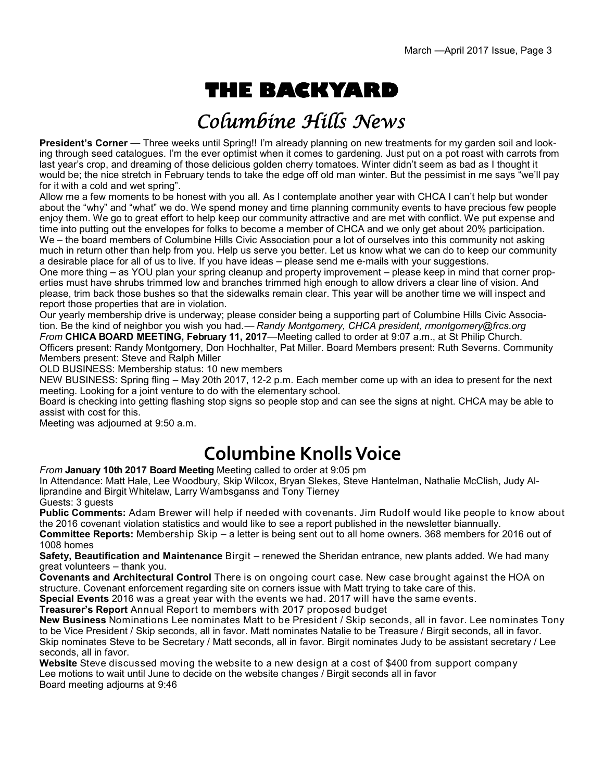# **THE BACKYARD**

## Columbine Hills News

**President's Corner** — Three weeks until Spring!! I'm already planning on new treatments for my garden soil and looking through seed catalogues. I'm the ever optimist when it comes to gardening. Just put on a pot roast with carrots from last year's crop, and dreaming of those delicious golden cherry tomatoes. Winter didn't seem as bad as I thought it would be; the nice stretch in February tends to take the edge off old man winter. But the pessimist in me says "we'll pay for it with a cold and wet spring".

Allow me a few moments to be honest with you all. As I contemplate another year with CHCA I can't help but wonder about the "why" and "what" we do. We spend money and time planning community events to have precious few people enjoy them. We go to great effort to help keep our community attractive and are met with conflict. We put expense and time into putting out the envelopes for folks to become a member of CHCA and we only get about 20% participation. We – the board members of Columbine Hills Civic Association pour a lot of ourselves into this community not asking much in return other than help from you. Help us serve you better. Let us know what we can do to keep our community a desirable place for all of us to live. If you have ideas – please send me e-mails with your suggestions.

One more thing – as YOU plan your spring cleanup and property improvement – please keep in mind that corner properties must have shrubs trimmed low and branches trimmed high enough to allow drivers a clear line of vision. And please, trim back those bushes so that the sidewalks remain clear. This year will be another time we will inspect and report those properties that are in violation.

Our yearly membership drive is underway; please consider being a supporting part of Columbine Hills Civic Association. Be the kind of neighbor you wish you had.— *Randy Montgomery, CHCA president, rmontgomery@frcs.org From* **CHICA BOARD MEETING, February 11, 2017**—Meeting called to order at 9:07 a.m., at St Philip Church. Officers present: Randy Montgomery, Don Hochhalter, Pat Miller. Board Members present: Ruth Severns. Community Members present: Steve and Ralph Miller

OLD BUSINESS: Membership status: 10 new members

NEW BUSINESS: Spring fling – May 20th 2017, 12-2 p.m. Each member come up with an idea to present for the next meeting. Looking for a joint venture to do with the elementary school.

Board is checking into getting flashing stop signs so people stop and can see the signs at night. CHCA may be able to assist with cost for this.

Meeting was adjourned at 9:50 a.m.

## **Columbine Knolls Voice**

*From* **January 10th 2017 Board Meeting** Meeting called to order at 9:05 pm

In Attendance: Matt Hale, Lee Woodbury, Skip Wilcox, Bryan Slekes, Steve Hantelman, Nathalie McClish, Judy Alliprandine and Birgit Whitelaw, Larry Wambsganss and Tony Tierney

Guests: 3 guests

**Public Comments:** Adam Brewer will help if needed with covenants. Jim Rudolf would like people to know about the 2016 covenant violation statistics and would like to see a report published in the newsletter biannually.

**Committee Reports:** Membership Skip – a letter is being sent out to all home owners. 368 members for 2016 out of 1008 homes

**Safety, Beautification and Maintenance** Birgit – renewed the Sheridan entrance, new plants added. We had many great volunteers – thank you.

**Covenants and Architectural Control** There is on ongoing court case. New case brought against the HOA on structure. Covenant enforcement regarding site on corners issue with Matt trying to take care of this.

**Special Events** 2016 was a great year with the events we had. 2017 will have the same events.

**Treasurer's Report** Annual Report to members with 2017 proposed budget

**New Business** Nominations Lee nominates Matt to be President / Skip seconds, all in favor. Lee nominates Tony to be Vice President / Skip seconds, all in favor. Matt nominates Natalie to be Treasure / Birgit seconds, all in favor. Skip nominates Steve to be Secretary / Matt seconds, all in favor. Birgit nominates Judy to be assistant secretary / Lee seconds, all in favor.

**Website** Steve discussed moving the website to a new design at a cost of \$400 from support company Lee motions to wait until June to decide on the website changes / Birgit seconds all in favor Board meeting adjourns at 9:46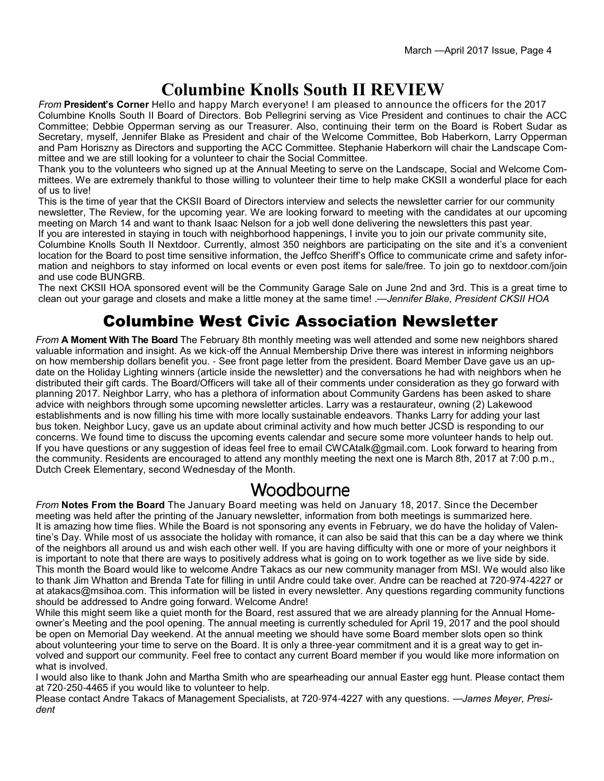### **Columbine Knolls South II REVIEW**

*From* **President's Corner** Hello and happy March everyone! I am pleased to announce the officers for the 2017 Columbine Knolls South II Board of Directors. Bob Pellegrini serving as Vice President and continues to chair the ACC Committee; Debbie Opperman serving as our Treasurer. Also, continuing their term on the Board is Robert Sudar as Secretary, myself, Jennifer Blake as President and chair of the Welcome Committee, Bob Haberkorn, Larry Opperman and Pam Horiszny as Directors and supporting the ACC Committee. Stephanie Haberkorn will chair the Landscape Committee and we are still looking for a volunteer to chair the Social Committee.

Thank you to the volunteers who signed up at the Annual Meeting to serve on the Landscape, Social and Welcome Committees. We are extremely thankful to those willing to volunteer their time to help make CKSII a wonderful place for each of us to live!

This is the time of year that the CKSII Board of Directors interview and selects the newsletter carrier for our community newsletter, The Review, for the upcoming year. We are looking forward to meeting with the candidates at our upcoming meeting on March 14 and want to thank Isaac Nelson for a job well done delivering the newsletters this past year.

If you are interested in staying in touch with neighborhood happenings, I invite you to join our private community site, Columbine Knolls South II Nextdoor. Currently, almost 350 neighbors are participating on the site and it's a convenient location for the Board to post time sensitive information, the Jeffco Sheriff's Office to communicate crime and safety information and neighbors to stay informed on local events or even post items for sale/free. To join go to nextdoor.com/join and use code BUNGRB.

The next CKSII HOA sponsored event will be the Community Garage Sale on June 2nd and 3rd. This is a great time to clean out your garage and closets and make a little money at the same time! .—*Jennifer Blake, President CKSII HOA*

#### Columbine West Civic Association Newsletter

*From* **A Moment With The Board** The February 8th monthly meeting was well attended and some new neighbors shared valuable information and insight. As we kick-off the Annual Membership Drive there was interest in informing neighbors on how membership dollars benefit you. - See front page letter from the president. Board Member Dave gave us an update on the Holiday Lighting winners (article inside the newsletter) and the conversations he had with neighbors when he distributed their gift cards. The Board/Officers will take all of their comments under consideration as they go forward with planning 2017. Neighbor Larry, who has a plethora of information about Community Gardens has been asked to share advice with neighbors through some upcoming newsletter articles. Larry was a restaurateur, owning (2) Lakewood establishments and is now filling his time with more locally sustainable endeavors. Thanks Larry for adding your last bus token. Neighbor Lucy, gave us an update about criminal activity and how much better JCSD is responding to our concerns. We found time to discuss the upcoming events calendar and secure some more volunteer hands to help out. If you have questions or any suggestion of ideas feel free to email CWCAtalk@gmail.com. Look forward to hearing from the community. Residents are encouraged to attend any monthly meeting the next one is March 8th, 2017 at 7:00 p.m., Dutch Creek Elementary, second Wednesday of the Month.

#### Woodbourne

*From* **Notes From the Board** The January Board meeting was held on January 18, 2017. Since the December meeting was held after the printing of the January newsletter, information from both meetings is summarized here. It is amazing how time flies. While the Board is not sponsoring any events in February, we do have the holiday of Valentine's Day. While most of us associate the holiday with romance, it can also be said that this can be a day where we think of the neighbors all around us and wish each other well. If you are having difficulty with one or more of your neighbors it is important to note that there are ways to positively address what is going on to work together as we live side by side. This month the Board would like to welcome Andre Takacs as our new community manager from MSI. We would also like to thank Jim Whatton and Brenda Tate for filling in until Andre could take over. Andre can be reached at 720-974-4227 or at atakacs@msihoa.com. This information will be listed in every newsletter. Any questions regarding community functions should be addressed to Andre going forward. Welcome Andre!

While this might seem like a quiet month for the Board, rest assured that we are already planning for the Annual Homeowner's Meeting and the pool opening. The annual meeting is currently scheduled for April 19, 2017 and the pool should be open on Memorial Day weekend. At the annual meeting we should have some Board member slots open so think about volunteering your time to serve on the Board. It is only a three-year commitment and it is a great way to get involved and support our community. Feel free to contact any current Board member if you would like more information on what is involved.

I would also like to thank John and Martha Smith who are spearheading our annual Easter egg hunt. Please contact them at 720-250-4465 if you would like to volunteer to help.

Please contact Andre Takacs of Management Specialists, at 720-974-4227 with any questions. —*James Meyer, President*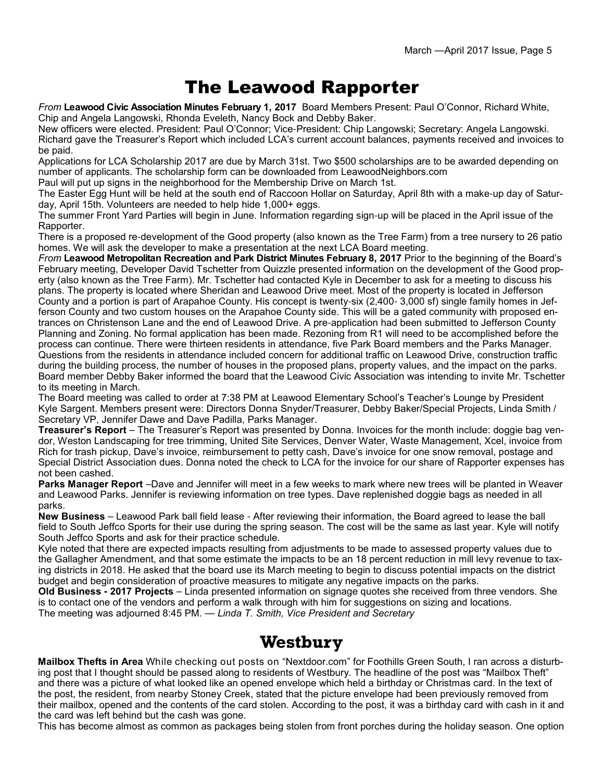### The Leawood Rapporter

*From* **Leawood Civic Association Minutes February 1, 2017** Board Members Present: Paul O'Connor, Richard White, Chip and Angela Langowski, Rhonda Eveleth, Nancy Bock and Debby Baker.

New officers were elected. President: Paul O'Connor; Vice-President: Chip Langowski; Secretary: Angela Langowski. Richard gave the Treasurer's Report which included LCA's current account balances, payments received and invoices to be paid.

Applications for LCA Scholarship 2017 are due by March 31st. Two \$500 scholarships are to be awarded depending on number of applicants. The scholarship form can be downloaded from LeawoodNeighbors.com

Paul will put up signs in the neighborhood for the Membership Drive on March 1st.

The Easter Egg Hunt will be held at the south end of Raccoon Hollar on Saturday, April 8th with a make-up day of Saturday, April 15th. Volunteers are needed to help hide 1,000+ eggs.

The summer Front Yard Parties will begin in June. Information regarding sign-up will be placed in the April issue of the Rapporter.

There is a proposed re-development of the Good property (also known as the Tree Farm) from a tree nursery to 26 patio homes. We will ask the developer to make a presentation at the next LCA Board meeting.

*From* **Leawood Metropolitan Recreation and Park District Minutes February 8, 2017** Prior to the beginning of the Board's February meeting, Developer David Tschetter from Quizzle presented information on the development of the Good property (also known as the Tree Farm). Mr. Tschetter had contacted Kyle in December to ask for a meeting to discuss his plans. The property is located where Sheridan and Leawood Drive meet. Most of the property is located in Jefferson County and a portion is part of Arapahoe County. His concept is twenty-six (2,400- 3,000 sf) single family homes in Jefferson County and two custom houses on the Arapahoe County side. This will be a gated community with proposed entrances on Christenson Lane and the end of Leawood Drive. A pre-application had been submitted to Jefferson County Planning and Zoning. No formal application has been made. Rezoning from R1 will need to be accomplished before the process can continue. There were thirteen residents in attendance, five Park Board members and the Parks Manager. Questions from the residents in attendance included concern for additional traffic on Leawood Drive, construction traffic during the building process, the number of houses in the proposed plans, property values, and the impact on the parks. Board member Debby Baker informed the board that the Leawood Civic Association was intending to invite Mr. Tschetter to its meeting in March.

The Board meeting was called to order at 7:38 PM at Leawood Elementary School's Teacher's Lounge by President Kyle Sargent. Members present were: Directors Donna Snyder/Treasurer, Debby Baker/Special Projects, Linda Smith / Secretary VP, Jennifer Dawe and Dave Padilla, Parks Manager.

**Treasurer's Report** – The Treasurer's Report was presented by Donna. Invoices for the month include: doggie bag vendor, Weston Landscaping for tree trimming, United Site Services, Denver Water, Waste Management, Xcel, invoice from Rich for trash pickup, Dave's invoice, reimbursement to petty cash, Dave's invoice for one snow removal, postage and Special District Association dues. Donna noted the check to LCA for the invoice for our share of Rapporter expenses has not been cashed.

**Parks Manager Report** –Dave and Jennifer will meet in a few weeks to mark where new trees will be planted in Weaver and Leawood Parks. Jennifer is reviewing information on tree types. Dave replenished doggie bags as needed in all parks.

**New Business** – Leawood Park ball field lease - After reviewing their information, the Board agreed to lease the ball field to South Jeffco Sports for their use during the spring season. The cost will be the same as last year. Kyle will notify South Jeffco Sports and ask for their practice schedule.

Kyle noted that there are expected impacts resulting from adjustments to be made to assessed property values due to the Gallagher Amendment, and that some estimate the impacts to be an 18 percent reduction in mill levy revenue to taxing districts in 2018. He asked that the board use its March meeting to begin to discuss potential impacts on the district budget and begin consideration of proactive measures to mitigate any negative impacts on the parks.

**Old Business - 2017 Projects** – Linda presented information on signage quotes she received from three vendors. She is to contact one of the vendors and perform a walk through with him for suggestions on sizing and locations. The meeting was adjourned 8:45 PM. — *Linda T. Smith, Vice President and Secretary*

#### **Westbury**

**Mailbox Thefts in Area** While checking out posts on "Nextdoor.com" for Foothills Green South, I ran across a disturbing post that I thought should be passed along to residents of Westbury. The headline of the post was "Mailbox Theft" and there was a picture of what looked like an opened envelope which held a birthday or Christmas card. In the text of the post, the resident, from nearby Stoney Creek, stated that the picture envelope had been previously removed from their mailbox, opened and the contents of the card stolen. According to the post, it was a birthday card with cash in it and the card was left behind but the cash was gone.

This has become almost as common as packages being stolen from front porches during the holiday season. One option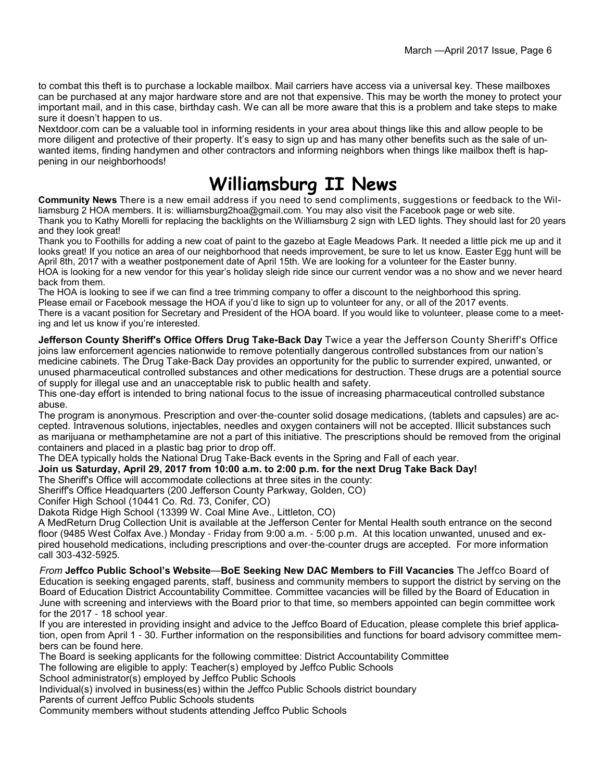to combat this theft is to purchase a lockable mailbox. Mail carriers have access via a universal key. These mailboxes can be purchased at any major hardware store and are not that expensive. This may be worth the money to protect your important mail, and in this case, birthday cash. We can all be more aware that this is a problem and take steps to make sure it doesn't happen to us.

Nextdoor.com can be a valuable tool in informing residents in your area about things like this and allow people to be more diligent and protective of their property. It's easy to sign up and has many other benefits such as the sale of unwanted items, finding handymen and other contractors and informing neighbors when things like mailbox theft is happening in our neighborhoods!

### **Williamsburg II News**

**Community News** There is a new email address if you need to send compliments, suggestions or feedback to the Williamsburg 2 HOA members. It is: williamsburg2hoa@gmail.com. You may also visit the Facebook page or web site. Thank you to Kathy Morelli for replacing the backlights on the Williamsburg 2 sign with LED lights. They should last for 20 years and they look great!

Thank you to Foothills for adding a new coat of paint to the gazebo at Eagle Meadows Park. It needed a little pick me up and it looks great! If you notice an area of our neighborhood that needs improvement, be sure to let us know. Easter Egg hunt will be April 8th, 2017 with a weather postponement date of April 15th. We are looking for a volunteer for the Easter bunny. HOA is looking for a new vendor for this year's holiday sleigh ride since our current vendor was a no show and we never heard back from them.

The HOA is looking to see if we can find a tree trimming company to offer a discount to the neighborhood this spring. Please email or Facebook message the HOA if you'd like to sign up to volunteer for any, or all of the 2017 events. There is a vacant position for Secretary and President of the HOA board. If you would like to volunteer, please come to a meeting and let us know if you're interested.

**Jefferson County Sheriff's Office Offers Drug Take-Back Day** Twice a year the Jefferson County Sheriff's Office joins law enforcement agencies nationwide to remove potentially dangerous controlled substances from our nation's medicine cabinets. The Drug Take-Back Day provides an opportunity for the public to surrender expired, unwanted, or unused pharmaceutical controlled substances and other medications for destruction. These drugs are a potential source of supply for illegal use and an unacceptable risk to public health and safety.

This one-day effort is intended to bring national focus to the issue of increasing pharmaceutical controlled substance abuse.

The program is anonymous. Prescription and over-the-counter solid dosage medications, (tablets and capsules) are accepted. Intravenous solutions, injectables, needles and oxygen containers will not be accepted. Illicit substances such as marijuana or methamphetamine are not a part of this initiative. The prescriptions should be removed from the original containers and placed in a plastic bag prior to drop off.

The DEA typically holds the National Drug Take-Back events in the Spring and Fall of each year.

**Join us Saturday, April 29, 2017 from 10:00 a.m. to 2:00 p.m. for the next Drug Take Back Day!**

The Sheriff's Office will accommodate collections at three sites in the county:

Sheriff's Office Headquarters (200 Jefferson County Parkway, Golden, CO)

Conifer High School (10441 Co. Rd. 73, Conifer, CO)

Dakota Ridge High School (13399 W. Coal Mine Ave., Littleton, CO)

A MedReturn Drug Collection Unit is available at the Jefferson Center for Mental Health south entrance on the second floor (9485 West Colfax Ave.) Monday - Friday from 9:00 a.m. - 5:00 p.m. At this location unwanted, unused and expired household medications, including prescriptions and over-the-counter drugs are accepted. For more information call 303-432-5925.

*From* **Jeffco Public School's Website**—**BoE Seeking New DAC Members to Fill Vacancies** The Jeffco Board of Education is seeking engaged parents, staff, business and community members to support the district by serving on the Board of Education District Accountability Committee. Committee vacancies will be filled by the Board of Education in June with screening and interviews with the Board prior to that time, so members appointed can begin committee work for the 2017 - 18 school year.

If you are interested in providing insight and advice to the Jeffco Board of Education, please complete this brief application, open from April 1 - 30. Further information on the responsibilities and functions for board advisory committee members can be found here.

The Board is seeking applicants for the following committee: District Accountability Committee

The following are eligible to apply: Teacher(s) employed by Jeffco Public Schools

School administrator(s) employed by Jeffco Public Schools

Individual(s) involved in business(es) within the Jeffco Public Schools district boundary

Parents of current Jeffco Public Schools students

Community members without students attending Jeffco Public Schools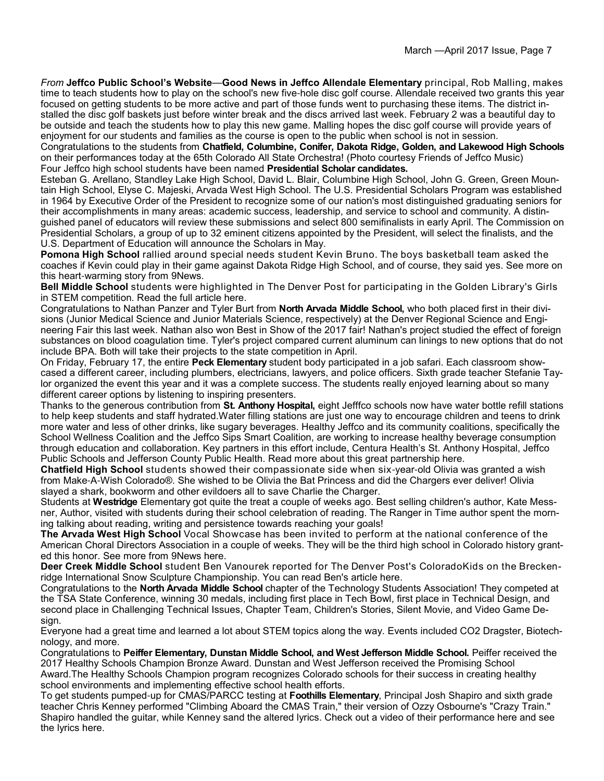*From* **Jeffco Public School's Website**—**Good News in Jeffco Allendale Elementary** principal, Rob Malling, makes time to teach students how to play on the school's new five-hole disc golf course. Allendale received two grants this year focused on getting students to be more active and part of those funds went to purchasing these items. The district installed the disc golf baskets just before winter break and the discs arrived last week. February 2 was a beautiful day to be outside and teach the students how to play this new game. Malling hopes the disc golf course will provide years of enjoyment for our students and families as the course is open to the public when school is not in session.

Congratulations to the students from **Chatfield, Columbine, Conifer, Dakota Ridge, Golden, and Lakewood High Schools**  on their performances today at the 65th Colorado All State Orchestra! (Photo courtesy Friends of Jeffco Music) Four Jeffco high school students have been named **Presidential Scholar candidates.**

Esteban G. Arellano, Standley Lake High School, David L. Blair, Columbine High School, John G. Green, Green Mountain High School, Elyse C. Majeski, Arvada West High School. The U.S. Presidential Scholars Program was established in 1964 by Executive Order of the President to recognize some of our nation's most distinguished graduating seniors for their accomplishments in many areas: academic success, leadership, and service to school and community. A distinguished panel of educators will review these submissions and select 800 semifinalists in early April. The Commission on Presidential Scholars, a group of up to 32 eminent citizens appointed by the President, will select the finalists, and the U.S. Department of Education will announce the Scholars in May.

**Pomona High School** rallied around special needs student Kevin Bruno. The boys basketball team asked the coaches if Kevin could play in their game against Dakota Ridge High School, and of course, they said yes. See more on this heart-warming story from 9News.

**Bell Middle School** students were highlighted in The Denver Post for participating in the Golden Library's Girls in STEM competition. Read the full article here.

Congratulations to Nathan Panzer and Tyler Burt from **North Arvada Middle School,** who both placed first in their divisions (Junior Medical Science and Junior Materials Science, respectively) at the Denver Regional Science and Engineering Fair this last week. Nathan also won Best in Show of the 2017 fair! Nathan's project studied the effect of foreign substances on blood coagulation time. Tyler's project compared current aluminum can linings to new options that do not include BPA. Both will take their projects to the state competition in April.

On Friday, February 17, the entire **Peck Elementary** student body participated in a job safari. Each classroom showcased a different career, including plumbers, electricians, lawyers, and police officers. Sixth grade teacher Stefanie Taylor organized the event this year and it was a complete success. The students really enjoyed learning about so many different career options by listening to inspiring presenters.

Thanks to the generous contribution from **St. Anthony Hospital,** eight Jefffco schools now have water bottle refill stations to help keep students and staff hydrated.Water filling stations are just one way to encourage children and teens to drink more water and less of other drinks, like sugary beverages. Healthy Jeffco and its community coalitions, specifically the School Wellness Coalition and the Jeffco Sips Smart Coalition, are working to increase healthy beverage consumption through education and collaboration. Key partners in this effort include, Centura Health's St. Anthony Hospital, Jeffco Public Schools and Jefferson County Public Health. Read more about this great partnership here.

**Chatfield High School** students showed their compassionate side when six-year-old Olivia was granted a wish from Make-A-Wish Colorado®. She wished to be Olivia the Bat Princess and did the Chargers ever deliver! Olivia slayed a shark, bookworm and other evildoers all to save Charlie the Charger.

Students at **Westridge** Elementary got quite the treat a couple of weeks ago. Best selling children's author, Kate Messner, Author, visited with students during their school celebration of reading. The Ranger in Time author spent the morning talking about reading, writing and persistence towards reaching your goals!

**The Arvada West High School** Vocal Showcase has been invited to perform at the national conference of the American Choral Directors Association in a couple of weeks. They will be the third high school in Colorado history granted this honor. See more from 9News here.

**Deer Creek Middle School** student Ben Vanourek reported for The Denver Post's ColoradoKids on the Breckenridge International Snow Sculpture Championship. You can read Ben's article here.

Congratulations to the **North Arvada Middle School** chapter of the Technology Students Association! They competed at the TSA State Conference, winning 30 medals, including first place in Tech Bowl, first place in Technical Design, and second place in Challenging Technical Issues, Chapter Team, Children's Stories, Silent Movie, and Video Game Design.

Everyone had a great time and learned a lot about STEM topics along the way. Events included CO2 Dragster, Biotechnology, and more.

Congratulations to **Peiffer Elementary, Dunstan Middle School, and West Jefferson Middle School.** Peiffer received the 2017 Healthy Schools Champion Bronze Award. Dunstan and West Jefferson received the Promising School Award.The Healthy Schools Champion program recognizes Colorado schools for their success in creating healthy school environments and implementing effective school health efforts.

To get students pumped-up for CMAS/PARCC testing at **Foothills Elementary**, Principal Josh Shapiro and sixth grade teacher Chris Kenney performed "Climbing Aboard the CMAS Train," their version of Ozzy Osbourne's "Crazy Train." Shapiro handled the guitar, while Kenney sand the altered lyrics. Check out a video of their performance here and see the lyrics here.